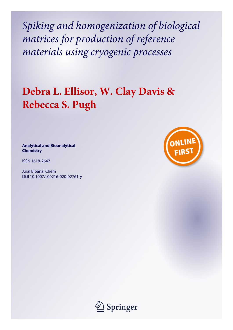*Spiking and homogenization of biological matrices for production of reference materials using cryogenic processes*

# **Debra L. Ellisor, W. Clay Davis & Rebecca S. Pugh**

**Analytical and Bioanalytical Chemistry**

ISSN 1618-2642

Anal Bioanal Chem DOI 10.1007/s00216-020-02761-y



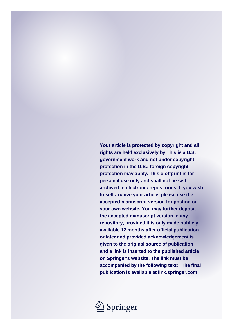**Your article is protected by copyright and all rights are held exclusively by This is a U.S. government work and not under copyright protection in the U.S.; foreign copyright protection may apply. This e-offprint is for personal use only and shall not be selfarchived in electronic repositories. If you wish to self-archive your article, please use the accepted manuscript version for posting on your own website. You may further deposit the accepted manuscript version in any repository, provided it is only made publicly available 12 months after official publication or later and provided acknowledgement is given to the original source of publication and a link is inserted to the published article on Springer's website. The link must be accompanied by the following text: "The final publication is available at link.springer.com".**

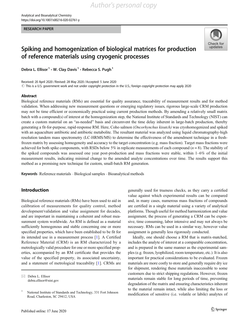#### **RESEARCH PAPER** RESEARCH PAPER



## Spiking and homogenization of biological matrices for production of reference materials using cryogenic processes

Debra L. Ellisor<sup>1</sup>  $\cdot$  W. Clay Davis<sup>1</sup>  $\cdot$  Rebecca S. Pugh<sup>1</sup>

Received: 20 April 2020 / Revised: 28 May 2020 /Accepted: 5 June 2020  $\odot$  This is a U.S. government work and not under copyright protection in the U.S.; foreign copyright protection may apply 2020

#### Abstract

Biological reference materials (RMs) are essential for quality assurance, traceability of measurement results and for method validation. When addressing new measurement questions or emerging regulatory issues, rigorous large-scale CRM production may not be time efficient or economically practical using current production methods. By amending a relatively small matrix batch with a compound(s) of interest at the homogenization step, the National Institute of Standards and Technology (NIST) can create a custom material on an "as-needed" basis and circumvent the time delay inherent in large-batch production, thereby generating a fit-for-purpose, rapid-response RM. Here, Coho salmon (Oncorhynchus kisutch) was cryohomogenized and spiked with an aquaculture antibiotic and antibiotic metabolite. The resultant material was analyzed using liquid chromatography-high resolution tandem mass spectrometry (LC-HRMS/MS) to determine the effectiveness of the amendment technique in a freshfrozen matrix by assessing homogeneity and accuracy to the target concentration (e.g. mass fraction). Target mass fractions were achieved for both spike components, with RSDs below 5% in replicate measurements of each compound ( $n = 8$ ). The stability of the spiked compounds was assessed one year post-production and mass fractions were stable, within 1–6% of the initial measurement results, indicating minimal change to the amended analyte concentrations over time. The results support this method as a promising new technique for custom, small-batch RM generation.

Keywords Reference materials . Biological samples . Bioanalytical methods

#### Introduction

Biological reference materials (RMs) have been used to aid in calibration of measurements for quality control, method development/validation and value assignment for decades, and are important in maintaining a coherent and robust measurement system worldwide. An RM is defined as a material sufficiently homogenous and stable concerning one or more specified properties, which have been established to be fit for its intended use in a measurement process [\[1](#page-6-0)]. A Certified Reference Material (CRM) is an RM characterized by a metrologically valid procedure for one or more specified properties, accompanied by an RM certificate that provides the value of the specified property, its associated uncertainty, and a statement of metrological traceability [\[1](#page-6-0)]. CRMs are generally used for trueness checks, as they carry a certified value against which experimental results can be compared and, in many cases, numerous mass fractions of compounds are certified in a single material using a variety of analytical platforms. Though useful for method harmonization and value assignment, the process of generating a CRM can be expensive, time consuming, labor intensive and may not always be necessary. RMs can be used in a similar way, however value assignment is generally less rigorously conducted.

Ideally, one should choose a RM that is matrix-matched, includes the analyte of interest at a comparable concentration, and is prepared in the same manner as the experimental samples (e.g. frozen, lyophilized, room temperature, etc.). It is also important for practical considerations to be evaluated. Frozen materials are more costly to store and generally require dry ice for shipment, rendering these materials inaccessible to some customers due to strict shipping regulations. However, frozen materials remain stable for long periods of time, preventing degradation of the matrix and ensuring characteristics inherent to the material remain intact, while also limiting the loss or modification of sensitive (i.e. volatile or labile) analytes of

 $\boxtimes$  Debra L. Ellisor [debra.ellisor@nist.gov](mailto:debra.ellisor@nist.gov)

<sup>&</sup>lt;sup>1</sup> National Institute of Standards and Technology, 331 Fort Johnson Road, Charleston, SC 29412, USA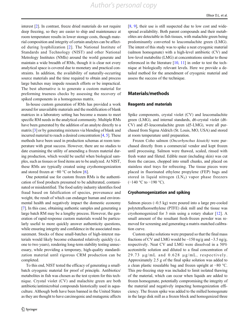interest [\[2](#page-6-0)]. In contrast, freeze dried materials do not require deep freezing, so they are easier to ship and maintenance at room temperature results in lower storage costs, though material composition and integrity of certain analytes can be affected during lyophilization [[2\]](#page-6-0). The National Institute of Standards and Technology (NIST) and other National Metrology Institutes (NMIs) around the world generate and maintain a wide breadth of RMs, though it is clear not every analytical space is covered due to monetary and practical constraints. In addition, the availability of naturally-occurring source materials and the time required to obtain and process large batches may impede research efforts or be impractical. The best alternative is to generate a custom material for preforming trueness checks by assessing the recovery of spiked components in a homogenous matrix.

In-house custom generation of RMs has provided a work around for unavailable materials and the modification of blank matrices in a laboratory setting has become a means to meet specific RM needs in the analytical community. Multiple RMs have been generated by the addition of an analyte directly to a matrix [\[3](#page-6-0)] or by generating mixtures via blending of blank and incurred material to reach a desired concentration [\[4](#page-6-0), [5](#page-6-0)]. These methods have been used in production schemas at room temperature with great success. However, there are no studies to date examining the utility of amending a frozen material during production, which would be useful when biological samples, such as tissues or food items are to be analyzed. At NIST, these RMs are typically created using cryohomogenization and stored frozen at −80 °C or below [\[6](#page-6-0)].

One potential use for custom frozen RMs is the authentication of food products presumed to be adulterated, contaminated or misidentified. The food safety industry identifies food fraud based on falsification of species, provenance and weight, the result of which can endanger human and environmental health and negatively impact the domestic economy [\[7](#page-6-0)]. In this case, obtaining authentic samples and generating a large batch RM may be a lengthy process. However, the generation of rapid-response custom materials would be particularly useful to more quickly answer authenticity questions, while ensuring integrity and confidence in the associated measurement. Stocks of these small-batches of high-interest materials would likely become exhausted relatively quickly (i.e. one to two years), rendering long-term stability testing unnecessary, while providing a temporary, high-quality standardization material until rigorous CRM production can be completed.

To this end, NIST tested the efficacy of generating a smallbatch cryogenic material for proof of principle. Antibiotics/ metabolites in fish was chosen as the test system for this technique. Crystal violet (CV) and malachite green are both antibiotic/antimicrobial compounds historically used in aquaculture. Although both have been banned in the United States as they are thought to have carcinogenic and mutagenic affects Ellisor D.L. et al.

[\[8](#page-6-0), [9\]](#page-6-0), their use is still suspected due to low cost and widespread availability. Both parent compounds and their metabolites are detectable in fish tissues, with malachite green being predominantly converted to leucomalachite green (LMG). The intent of this study was to spike a neat cryogenic material (salmon homogenate) with a high-level antibiotic (CV) and low-level metabolite (LMG) at concentrations similar to those referenced in the literature [[10](#page-6-0), [11\]](#page-6-0) in order to test the technique at biologically relevant levels. Here we provide a detailed method for the amendment of cryogenic material and assess the success of the technique.

#### Materials/methods

#### Reagents and materials

Spike components, crystal violet (CV) and leucomalachite green (LMG), and internal standards, d6-crystal violet (d6- CV) and d5-leucomalachite green (d5-LMG), were all purchased from Sigma Aldrich (St. Louis, MO, USA) and stored at room temperature until preparation.

Frozen Coho salmon (Oncorhynchus kisutch) were purchased directly from a commercial vendor and kept frozen until processing. Salmon were thawed, scaled, rinsed with fresh water and fileted. Edible meat (including skin) was cut from the carcass, chopped into small chunks, and placed on stainless steel trays for refreezing. The tissue pieces were placed in fluorinated ethylene propylene (FEP) bags and stored in liquid nitrogen  $(LN_2)$  vapor phase freezers  $(-140 °C)$  to  $-190 °C$ ).

#### Cryohomogenization and spiking

Salmon pieces  $(\sim 0.5 \text{ kg})$  were poured into a large pre-cooled polytetrafluoroethylene (PTFE) disk mill and the tissue was cryohomogenized for 3 min using a rotary shaker [[12\]](#page-6-0). A small amount of the resultant fresh-frozen powder was removed for screening and generating a matrix-matched calibration curve.

Custom spike solutions were prepared so that the final mass fractions of CV and LMG would be  $\sim$ 150 ng/g and  $\sim$ 3.5 ng/g, respectively. Neat CV and LMG were dissolved in a 50% acetonitrile solution and diluted to a final concentration of 29.73 μg/mL and 0.628 μg/mL, respectively. Approximately 2.5 g of the final spike solution was added to a clean plastic resealable bag and frozen upright at −80 °C. This pre-freezing step was included to limit isolated thawing of the material, which can occur when liquids are added to frozen homogenate, potentially compromising the integrity of the material and negatively impacting homogenization efficiency. The frozen spike was added to the milled homogenate in the large disk mill as a frozen block and homogenized three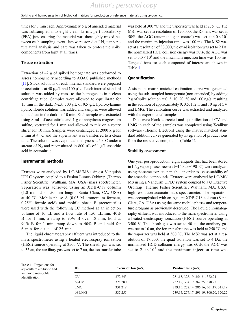Spiking and homogenization of biological matrices for production of reference materials using cryogenic...

times for 3 min each. Approximately 5 g of amended material was subsampled into eight clean 15 mL perfluoroalkoxy (PFA) jars, ensuring the material was thoroughly mixed between each sampling event. Jars were stored at  $LN<sub>2</sub>$  temperature until analysis and care was taken to protect the spike components from light at all times.

#### Tissue extraction

Extraction of  $\sim$ 2 g of spiked homogenate was performed to assess homogeneity according to AOAC published methods [\[11\]](#page-6-0). Stock solutions of each internal standard were prepared in acetonitrile at 40  $\mu$ g/L and 100  $\mu$ L of each internal standard solution was added by mass to the homogenate in a clean centrifuge tube. Samples were allowed to equilibrate for 15 min in the dark. Next, 500 μL of 9.5 g/L hydroxylamine hydrochloride solution was added and samples were allowed to incubate in the dark for 10 min. Each sample was extracted using 8 mL of acetonitrile and 1 g of anhydrous magnesium sulfate, vortexed for 1 min and allowed to mix on a rotary stirrer for 10 min. Samples were centrifuged at 2000 x g for 5 min at 4 °C and the supernatant was transferred to a clean tube. The solution was evaporated to dryness at 50 °C under a stream of  $N_2$  and reconstituted in 800 μL of 1 g/L ascorbic acid in acetonitrile.

#### Instrumental methods

Extracts were analyzed by LC-MS/MS using a Vanquish UPLC system coupled to a Fusion Lumos Orbitrap (Thermo Fisher Scientific, Waltham, MA, USA) mass spectrometer. Separation was achieved using an XDB-C18 column (1.0 mm id × 150 mm length, Santa Clara, CA, USA) at 40 °C. Mobile phase A (0.05 M ammonium formate, 0.25% formic acid) and mobile phase B (acetonitrile) were used with the following LC method at an injection volume of 10 μL and a flow rate of 150 μL/min: 40% B for 1 min, a ramp to 90% B over 18 min, hold at 90% B for 1 min, ramp down to 40% B and held for 6 min for a total of 25 min.

The liquid chromatography effluent was introduced to the mass spectrometer using a heated electrospray ionization (HESI) source operating at 3500 V. The sheath gas was set to 35 au, the auxiliary gas was set to 7 au, the ion transfer tube was held at 300 °C and the vaporizer was held at 275 °C. The MS1 was set at a resolution of 120,000, the RF lens was set at 50%, the AGC (automatic gain control) was set at  $4.0 \times 10^{5}$ and the maximum injection time was 100 ms. The MS2 was set at a resolution of 30,000, the quad isolation was set to 2 Da, the normalized HCD collision energy was 50%, the AGC was set to  $5.0 \times 10^4$  and the maximum injection time was 100 ms. Targeted ions for each compound of interest are shown in Table 1.

#### **Quantification**

A six-point matrix-matched calibration curve was generated using the sub-sampled homogenate (non-amended) by adding 2 g of spike solution at 0, 5, 10, 20, 50 and 100 ng/g, resulting in the addition of approximately 0, 0.5, 1, 2, 5 and 10 ng of CV and LMG. The calibration curve was extracted and analyzed with the experimental samples.

Data were blank corrected and quantification of CV and LMG in each of the samples was completed using Xcalibur software (Thermo Electron) using the matrix matched standard addition curves generated by integration of product ions from the respective compounds (Table 1).

#### Stability assessment

One year post-production, eight aliquots that had been stored in LN<sub>2</sub> vapor-phase freezers ( $-140$  to  $-190$  °C) were analyzed using the same extraction method in order to assess stability of the amended compounds. Extracts were analyzed by LC-MS/ MS using a Vanquish UPLC system coupled to a Q Exactive Orbitrap (Thermo Fisher Scientific, Waltham, MA, USA) high-resolution accurate mass spectrometer. The separation was accomplished with an Agilent XDB-C18 column (Santa Clara, CA, USA) using the same mobile phases and temperature program as previously described. The liquid chromatography effluent was introduced to the mass spectrometer using a heated electrospray ionization (HESI) source operating at 3500 V. The sheath gas was set to 40 au, the auxiliary gas was set to 10 au, the ion transfer tube was held at 250 °C and the vaporizer was held at 300 °C. The MS2 was set at a resolution of 17,500, the quad isolation was set to 4 Da, the normalized HCD collision energy was 60%, the AGC was set to  $2.0 \times 10^5$  and the maximum injection time was

Table 1 Target ions for aquaculture antibiotic and antibiotic metabolite identification

| ID        | Precursor Ion (m/z) | Product Ions $(m/z)$                   |
|-----------|---------------------|----------------------------------------|
| <b>CV</b> | 372.243             | 251.15, 328.19, 356.21, 372.24         |
| $d6$ -CV  | 378.280             | 257.19, 334.19, 362.25, 378.28         |
| LMG       | 331.218             | 239.15, 272.14, 286.16, 301.17, 315.19 |
| d6-LMG    | 337.255             | 239.15, 277.17, 291.19, 300.20, 320.22 |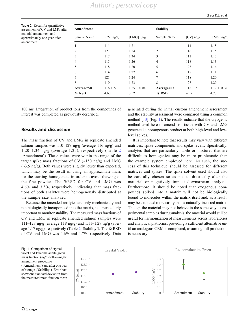<span id="page-5-0"></span>Table 2 Result for quantitative assessment of CV and LMG after material amendment and approximately one year after amendment

| Amendment      |             |                 | <b>Stability</b> |             |                  |
|----------------|-------------|-----------------|------------------|-------------|------------------|
| Sample Name    | $[CV]$ ng/g | [LMG] $ng/g$    | Sample Name      | $[CV]$ ng/g | [ $LMG$ ] $ng/g$ |
|                | 111         | 1.21            | 1                | 114         | 1.18             |
| $\overline{2}$ | 127         | 1.24            | $\overline{2}$   | 116         | 1.15             |
| 3              | 117         | 1.34            | 3                | 111         | 1.17             |
| 4              | 115         | 1.26            | $\overline{4}$   | 118         | 1.13             |
| 5              | 118         | 1.20            | 5                | 123         | 1.14             |
| 6              | 114         | 1.27            | 6                | 118         | 1.11             |
|                | 121         | 1.24            | 7                | 118         | 1.20             |
| 8              | 110         | 1.23            | 8                | 128         | 1.29             |
| Average/SD     | $116 \pm 5$ | $1.25 \pm 0.04$ | Average/SD       | $118 \pm 5$ | $1.17 \pm 0.06$  |
| $%$ RSD        | 4.60        | 3.52            | % RSD            | 4.55        | 4.73             |

100 ms. Integration of product ions from the compounds of interest was completed as previously described.

#### Results and discussion

The mass fraction of CV and LMG in replicate amended salmon samples was 110–127 ng/g (average 116 ng/g) and 1.20–1.34 ng/g (average 1.25), respectively (Table 2 'Amendment'). These values were within the range of the target spike mass fractions of CV  $(\sim 150 \text{ ng/g})$  and LMG  $(\sim]3.5 \text{ ng/g})$ . Both values were slightly lower than expected, which may be the result of using an approximate mass for the starting homogenate in order to avoid thawing of the fine powder. The %RSD for CV and LMG was 4.6% and 3.5%, respectively, indicating that mass fractions of both analytes were homogenously distributed at the sample size analyzed.

Because the amended analytes are only mechanically and not biologically incorporated into the matrix, it is particularly important to monitor stability. The measured mass fractions of CV and LMG in replicate amended salmon samples were 111–128 ng/g (average 118 ng/g) and 1.11–1.29 ng/g (average 1.17 ng/g), respectively (Table 2 'Stability'). The % RSD of CV and LMG was 4.6% and 4.7%, respectively. Data generated during the initial custom amendment assessment and the stability assessment were compared using a common method [[13](#page-6-0)] (Fig. 1). The results indicate that the cryogenic method used here to amend fish tissue with CV and LMG generated a homogenous product at both high-level and lowlevel spikes.

It is important to note that results may vary with different matrices, spike components and spike levels. Specifically, analytes that are particularly labile or mixtures that are difficult to homogenize may be more problematic than the example system employed here. As such, the success of this technique should be assessed for different matrices and spikes. The spike solvent used should also be carefully chosen so as not to drastically alter the material or negatively impact downstream analysis. Furthermore, it should be noted that exogenous compounds spiked into a matrix will not be biologically bound to molecules within the matrix itself and, as a result, may be extracted more easily than a naturally-incurred matrix. Though the material may not behave in the same way as experimental samples during analysis, the material would still be useful for harmonization of measurements across laboratories and analytical platforms, providing a sufficient alternative until an analogous CRM is completed, assuming full production is necessary.

Fig. 1 Comparison of crystal violet and leucomalachite green mass fraction (ng/g) following the amendment procedure

('Amendment') and after one year of storage ('Stability'). Error bars show one standard deviation from the measured mass fraction mean